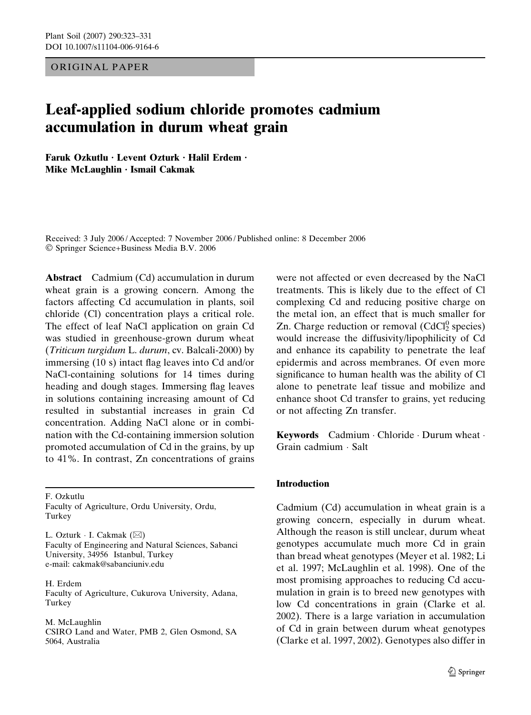ORIGINAL PAPER

# Leaf-applied sodium chloride promotes cadmium accumulation in durum wheat grain

Faruk Ozkutlu · Levent Ozturk · Halil Erdem · Mike McLaughlin  $\cdot$  Ismail Cakmak

Received: 3 July 2006 / Accepted: 7 November 2006 / Published online: 8 December 2006 - Springer Science+Business Media B.V. 2006

Abstract Cadmium (Cd) accumulation in durum wheat grain is a growing concern. Among the factors affecting Cd accumulation in plants, soil chloride (Cl) concentration plays a critical role. The effect of leaf NaCl application on grain Cd was studied in greenhouse-grown durum wheat (Triticum turgidum L. durum, cv. Balcali-2000) by immersing (10 s) intact flag leaves into Cd and/or NaCl-containing solutions for 14 times during heading and dough stages. Immersing flag leaves in solutions containing increasing amount of Cd resulted in substantial increases in grain Cd concentration. Adding NaCl alone or in combination with the Cd-containing immersion solution promoted accumulation of Cd in the grains, by up to 41%. In contrast, Zn concentrations of grains

F. Ozkutlu Faculty of Agriculture, Ordu University, Ordu, Turkey

L. Ozturk ∙ I. Cakmak (⊠) Faculty of Engineering and Natural Sciences, Sabanci University, 34956 Istanbul, Turkey e-mail: cakmak@sabanciuniv.edu

H. Erdem Faculty of Agriculture, Cukurova University, Adana, Turkey

M. McLaughlin CSIRO Land and Water, PMB 2, Glen Osmond, SA 5064, Australia

were not affected or even decreased by the NaCl treatments. This is likely due to the effect of Cl complexing Cd and reducing positive charge on the metal ion, an effect that is much smaller for Zn. Charge reduction or removal  $(CdCl<sub>2</sub><sup>0</sup>$  species) would increase the diffusivity/lipophilicity of Cd and enhance its capability to penetrate the leaf epidermis and across membranes. Of even more significance to human health was the ability of Cl alone to penetrate leaf tissue and mobilize and enhance shoot Cd transfer to grains, yet reducing or not affecting Zn transfer.

Keywords Cadmium - Chloride - Durum wheat -Grain cadmium - Salt

# Introduction

Cadmium (Cd) accumulation in wheat grain is a growing concern, especially in durum wheat. Although the reason is still unclear, durum wheat genotypes accumulate much more Cd in grain than bread wheat genotypes (Meyer et al. 1982; Li et al. 1997; McLaughlin et al. 1998). One of the most promising approaches to reducing Cd accumulation in grain is to breed new genotypes with low Cd concentrations in grain (Clarke et al. 2002). There is a large variation in accumulation of Cd in grain between durum wheat genotypes (Clarke et al. 1997, 2002). Genotypes also differ in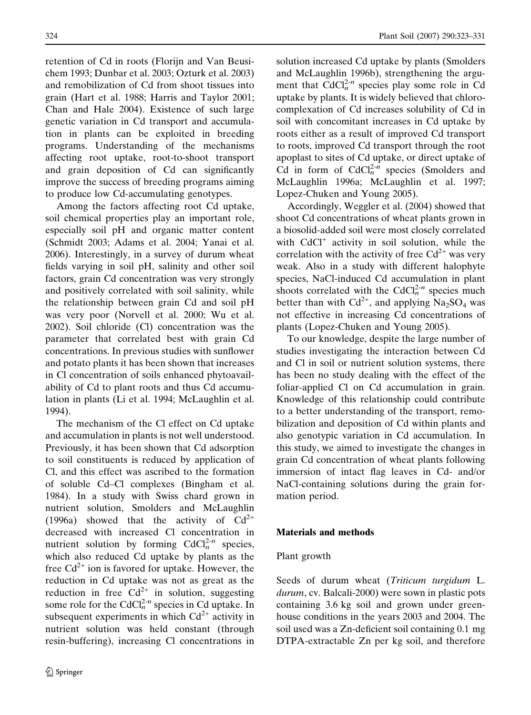retention of Cd in roots (Florijn and Van Beusichem 1993; Dunbar et al. 2003; Ozturk et al. 2003) and remobilization of Cd from shoot tissues into grain (Hart et al. 1988; Harris and Taylor 2001; Chan and Hale 2004). Existence of such large genetic variation in Cd transport and accumulation in plants can be exploited in breeding programs. Understanding of the mechanisms affecting root uptake, root-to-shoot transport and grain deposition of Cd can significantly improve the success of breeding programs aiming to produce low Cd-accumulating genotypes.

Among the factors affecting root Cd uptake, soil chemical properties play an important role, especially soil pH and organic matter content (Schmidt 2003; Adams et al. 2004; Yanai et al. 2006). Interestingly, in a survey of durum wheat fields varying in soil pH, salinity and other soil factors, grain Cd concentration was very strongly and positively correlated with soil salinity, while the relationship between grain Cd and soil pH was very poor (Norvell et al. 2000; Wu et al. 2002). Soil chloride (Cl) concentration was the parameter that correlated best with grain Cd concentrations. In previous studies with sunflower and potato plants it has been shown that increases in Cl concentration of soils enhanced phytoavailability of Cd to plant roots and thus Cd accumulation in plants (Li et al. 1994; McLaughlin et al. 1994).

The mechanism of the Cl effect on Cd uptake and accumulation in plants is not well understood. Previously, it has been shown that Cd adsorption to soil constituents is reduced by application of Cl, and this effect was ascribed to the formation of soluble Cd–Cl complexes (Bingham et al. 1984). In a study with Swiss chard grown in nutrient solution, Smolders and McLaughlin (1996a) showed that the activity of  $Cd^{2+}$ decreased with increased Cl concentration in nutrient solution by forming  $CdCl<sub>n</sub><sup>2-n</sup>$  species, which also reduced Cd uptake by plants as the free  $Cd^{2+}$  ion is favored for uptake. However, the reduction in Cd uptake was not as great as the reduction in free  $Cd^{2+}$  in solution, suggesting some role for the CdCl $_{n}^{2-n}$  species in Cd uptake. In subsequent experiments in which  $Cd^{2+}$  activity in nutrient solution was held constant (through resin-buffering), increasing Cl concentrations in solution increased Cd uptake by plants (Smolders and McLaughlin 1996b), strengthening the argument that  $CdCl<sub>n</sub><sup>2-n</sup>$  species play some role in Cd uptake by plants. It is widely believed that chlorocomplexation of Cd increases solubility of Cd in soil with concomitant increases in Cd uptake by roots either as a result of improved Cd transport to roots, improved Cd transport through the root apoplast to sites of Cd uptake, or direct uptake of Cd in form of  $CdCl<sub>n</sub><sup>2-n</sup>$  species (Smolders and McLaughlin 1996a; McLaughlin et al. 1997; Lopez-Chuken and Young 2005).

Accordingly, Weggler et al. (2004) showed that shoot Cd concentrations of wheat plants grown in a biosolid-added soil were most closely correlated with  $CdCl<sup>+</sup>$  activity in soil solution, while the correlation with the activity of free  $Cd^{2+}$  was very weak. Also in a study with different halophyte species, NaCl-induced Cd accumulation in plant shoots correlated with the CdCl $_{n}^{2-n}$  species much better than with  $Cd^{2+}$ , and applying  $Na_2SO_4$  was not effective in increasing Cd concentrations of plants (Lopez-Chuken and Young 2005).

To our knowledge, despite the large number of studies investigating the interaction between Cd and Cl in soil or nutrient solution systems, there has been no study dealing with the effect of the foliar-applied Cl on Cd accumulation in grain. Knowledge of this relationship could contribute to a better understanding of the transport, remobilization and deposition of Cd within plants and also genotypic variation in Cd accumulation. In this study, we aimed to investigate the changes in grain Cd concentration of wheat plants following immersion of intact flag leaves in Cd- and/or NaCl-containing solutions during the grain formation period.

# Materials and methods

# Plant growth

Seeds of durum wheat (Triticum turgidum L. durum, cv. Balcali-2000) were sown in plastic pots containing 3.6 kg soil and grown under greenhouse conditions in the years 2003 and 2004. The soil used was a Zn-deficient soil containing 0.1 mg DTPA-extractable Zn per kg soil, and therefore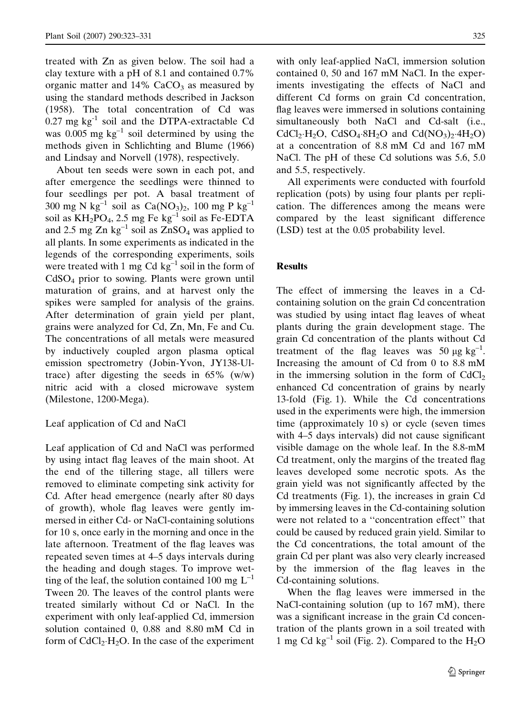treated with Zn as given below. The soil had a clay texture with a pH of 8.1 and contained 0.7% organic matter and  $14\%$  CaCO<sub>3</sub> as measured by using the standard methods described in Jackson (1958). The total concentration of Cd was  $0.27$  mg kg<sup>-1</sup> soil and the DTPA-extractable Cd was  $0.005$  mg kg<sup>-1</sup> soil determined by using the methods given in Schlichting and Blume (1966) and Lindsay and Norvell (1978), respectively.

About ten seeds were sown in each pot, and after emergence the seedlings were thinned to four seedlings per pot. A basal treatment of 300 mg N kg<sup>-1</sup> soil as Ca(NO<sub>3</sub>)<sub>2</sub>, 100 mg P kg<sup>-1</sup> soil as  $KH_2PO_4$ , 2.5 mg Fe kg<sup>-1</sup> soil as Fe-EDTA and 2.5 mg Zn  $kg^{-1}$  soil as ZnSO<sub>4</sub> was applied to all plants. In some experiments as indicated in the legends of the corresponding experiments, soils were treated with 1 mg Cd  $kg^{-1}$  soil in the form of CdSO4 prior to sowing. Plants were grown until maturation of grains, and at harvest only the spikes were sampled for analysis of the grains. After determination of grain yield per plant, grains were analyzed for Cd, Zn, Mn, Fe and Cu. The concentrations of all metals were measured by inductively coupled argon plasma optical emission spectrometry (Jobin-Yvon, JY138-Ultrace) after digesting the seeds in  $65\%$  (w/w) nitric acid with a closed microwave system (Milestone, 1200-Mega).

# Leaf application of Cd and NaCl

Leaf application of Cd and NaCl was performed by using intact flag leaves of the main shoot. At the end of the tillering stage, all tillers were removed to eliminate competing sink activity for Cd. After head emergence (nearly after 80 days of growth), whole flag leaves were gently immersed in either Cd- or NaCl-containing solutions for 10 s, once early in the morning and once in the late afternoon. Treatment of the flag leaves was repeated seven times at 4–5 days intervals during the heading and dough stages. To improve wetting of the leaf, the solution contained 100 mg  $L^{-1}$ Tween 20. The leaves of the control plants were treated similarly without Cd or NaCl. In the experiment with only leaf-applied Cd, immersion solution contained 0, 0.88 and 8.80 mM Cd in form of  $CdCl<sub>2</sub>·H<sub>2</sub>O$ . In the case of the experiment

with only leaf-applied NaCl, immersion solution contained 0, 50 and 167 mM NaCl. In the experiments investigating the effects of NaCl and different Cd forms on grain Cd concentration, flag leaves were immersed in solutions containing simultaneously both NaCl and Cd-salt (i.e., CdCl<sub>2</sub>·H<sub>2</sub>O, CdSO<sub>4</sub>·8H<sub>2</sub>O and Cd(NO<sub>3</sub>)<sub>2</sub>·4H<sub>2</sub>O) at a concentration of 8.8 mM Cd and 167 mM NaCl. The pH of these Cd solutions was 5.6, 5.0 and 5.5, respectively.

All experiments were conducted with fourfold replication (pots) by using four plants per replication. The differences among the means were compared by the least significant difference (LSD) test at the 0.05 probability level.

#### Results

The effect of immersing the leaves in a Cdcontaining solution on the grain Cd concentration was studied by using intact flag leaves of wheat plants during the grain development stage. The grain Cd concentration of the plants without Cd treatment of the flag leaves was 50  $\mu$ g kg<sup>-1</sup>. Increasing the amount of Cd from 0 to 8.8 mM in the immersing solution in the form of  $CdCl<sub>2</sub>$ enhanced Cd concentration of grains by nearly 13-fold (Fig. 1). While the Cd concentrations used in the experiments were high, the immersion time (approximately 10 s) or cycle (seven times with 4–5 days intervals) did not cause significant visible damage on the whole leaf. In the 8.8-mM Cd treatment, only the margins of the treated flag leaves developed some necrotic spots. As the grain yield was not significantly affected by the Cd treatments (Fig. 1), the increases in grain Cd by immersing leaves in the Cd-containing solution were not related to a ''concentration effect'' that could be caused by reduced grain yield. Similar to the Cd concentrations, the total amount of the grain Cd per plant was also very clearly increased by the immersion of the flag leaves in the Cd-containing solutions.

When the flag leaves were immersed in the NaCl-containing solution (up to 167 mM), there was a significant increase in the grain Cd concentration of the plants grown in a soil treated with 1 mg Cd kg<sup>-1</sup> soil (Fig. 2). Compared to the  $H_2O$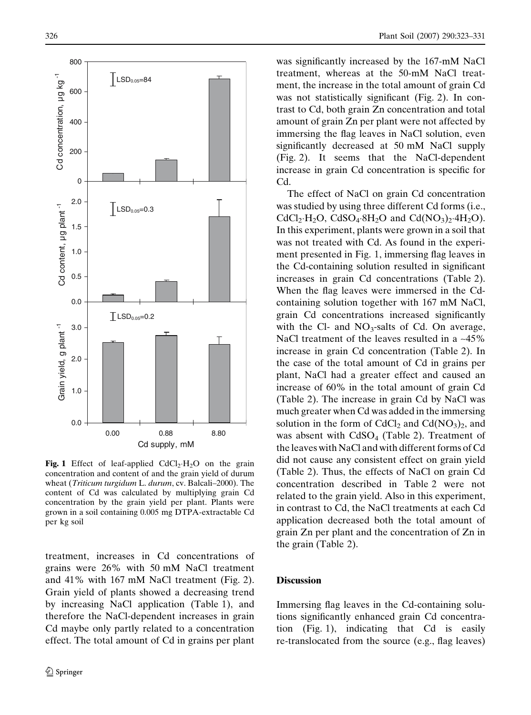

**Fig. 1** Effect of leaf-applied  $CdCl<sub>2</sub>·H<sub>2</sub>O$  on the grain concentration and content of and the grain yield of durum wheat (Triticum turgidum L. durum, cv. Balcali-2000). The content of Cd was calculated by multiplying grain Cd concentration by the grain yield per plant. Plants were grown in a soil containing 0.005 mg DTPA-extractable Cd per kg soil

treatment, increases in Cd concentrations of grains were 26% with 50 mM NaCl treatment and 41% with 167 mM NaCl treatment (Fig. 2). Grain yield of plants showed a decreasing trend by increasing NaCl application (Table 1), and therefore the NaCl-dependent increases in grain Cd maybe only partly related to a concentration effect. The total amount of Cd in grains per plant was significantly increased by the 167-mM NaCl treatment, whereas at the 50-mM NaCl treatment, the increase in the total amount of grain Cd was not statistically significant (Fig. 2). In contrast to Cd, both grain Zn concentration and total amount of grain Zn per plant were not affected by immersing the flag leaves in NaCl solution, even significantly decreased at 50 mM NaCl supply (Fig. 2). It seems that the NaCl-dependent increase in grain Cd concentration is specific for Cd.

The effect of NaCl on grain Cd concentration was studied by using three different Cd forms (i.e.,  $CdCl_2 \cdot H_2O$ ,  $CdSO_4 \cdot 8H_2O$  and  $Cd(NO_3)_2 \cdot 4H_2O$ ). In this experiment, plants were grown in a soil that was not treated with Cd. As found in the experiment presented in Fig. 1, immersing flag leaves in the Cd-containing solution resulted in significant increases in grain Cd concentrations (Table 2). When the flag leaves were immersed in the Cdcontaining solution together with 167 mM NaCl, grain Cd concentrations increased significantly with the Cl- and  $NO<sub>3</sub>$ -salts of Cd. On average, NaCl treatment of the leaves resulted in a ~45% increase in grain Cd concentration (Table 2). In the case of the total amount of Cd in grains per plant, NaCl had a greater effect and caused an increase of 60% in the total amount of grain Cd (Table 2). The increase in grain Cd by NaCl was much greater when Cd was added in the immersing solution in the form of  $CdCl<sub>2</sub>$  and  $Cd(NO<sub>3</sub>)<sub>2</sub>$ , and was absent with  $CdSO<sub>4</sub>$  (Table 2). Treatment of the leaves with NaCl and with different forms of Cd did not cause any consistent effect on grain yield (Table 2). Thus, the effects of NaCl on grain Cd concentration described in Table 2 were not related to the grain yield. Also in this experiment, in contrast to Cd, the NaCl treatments at each Cd application decreased both the total amount of grain Zn per plant and the concentration of Zn in the grain (Table 2).

#### **Discussion**

Immersing flag leaves in the Cd-containing solutions significantly enhanced grain Cd concentration (Fig. 1), indicating that Cd is easily re-translocated from the source (e.g., flag leaves)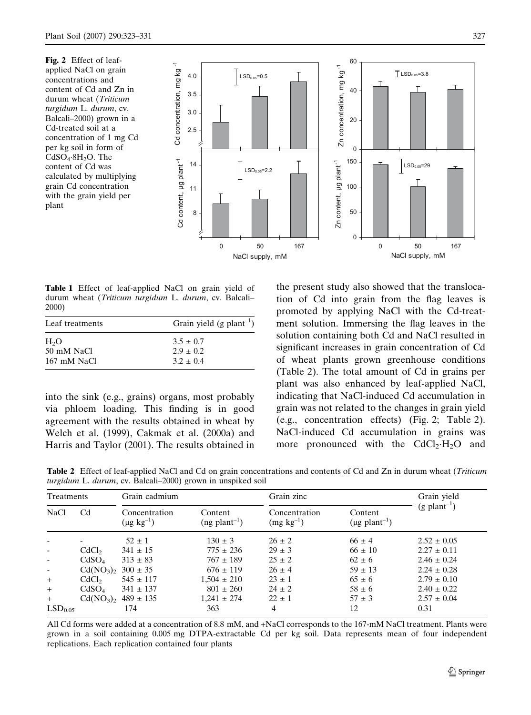Fig. 2 Effect of leafapplied NaCl on grain concentrations and content of Cd and Zn in durum wheat (Triticum turgidum L. durum, cv. Balcali–2000) grown in a Cd-treated soil at a concentration of 1 mg Cd per kg soil in form of  $CdSO_4$ · $8H_2O$ . The content of Cd was calculated by multiplying grain Cd concentration with the grain yield per plant



Table 1 Effect of leaf-applied NaCl on grain yield of durum wheat (Triticum turgidum L. durum, cv. Balcali– 2000)

| Leaf treatments  | Grain yield (g plant <sup>-1</sup> ) |  |  |
|------------------|--------------------------------------|--|--|
| H <sub>2</sub> O | $3.5 \pm 0.7$                        |  |  |
| 50 mM NaCl       | $2.9 \pm 0.2$                        |  |  |
| 167 mM NaCl      | $3.2 + 0.4$                          |  |  |

into the sink (e.g., grains) organs, most probably via phloem loading. This finding is in good agreement with the results obtained in wheat by Welch et al. (1999), Cakmak et al. (2000a) and Harris and Taylor (2001). The results obtained in the present study also showed that the translocation of Cd into grain from the flag leaves is promoted by applying NaCl with the Cd-treatment solution. Immersing the flag leaves in the solution containing both Cd and NaCl resulted in significant increases in grain concentration of Cd of wheat plants grown greenhouse conditions (Table 2). The total amount of Cd in grains per plant was also enhanced by leaf-applied NaCl, indicating that NaCl-induced Cd accumulation in grain was not related to the changes in grain yield (e.g., concentration effects) (Fig. 2; Table 2). NaCl-induced Cd accumulation in grains was more pronounced with the  $CdCl_2 \cdot H_2O$  and

Table 2 Effect of leaf-applied NaCl and Cd on grain concentrations and contents of Cd and Zn in durum wheat (Triticum turgidum L. durum, cv. Balcali–2000) grown in unspiked soil

| Treatments               |                                   | Grain cadmium                         |                                        | Grain zinc                      |                                           | Grain yield                |
|--------------------------|-----------------------------------|---------------------------------------|----------------------------------------|---------------------------------|-------------------------------------------|----------------------------|
| <b>NaCl</b>              | C <sub>d</sub>                    | Concentration<br>$(\mu g \; kg^{-1})$ | Content<br>$(ng$ plant <sup>-1</sup> ) | Concentration<br>$(mg kg^{-1})$ | Content<br>$(\mu g$ plant <sup>-1</sup> ) | $(g$ plant <sup>-1</sup> ) |
|                          |                                   | $52 \pm 1$                            | $130 \pm 3$                            | $26 \pm 2$                      | $66 \pm 4$                                | $2.52 \pm 0.05$            |
| $\overline{\phantom{a}}$ | CdCl <sub>2</sub>                 | $341 \pm 15$                          | $775 \pm 236$                          | $29 \pm 3$                      | $66 \pm 10$                               | $2.27 \pm 0.11$            |
| $\overline{\phantom{a}}$ | CdSO <sub>4</sub>                 | $313 \pm 83$                          | $767 \pm 189$                          | $25 \pm 2$                      | $62 \pm 6$                                | $2.46 \pm 0.24$            |
| $\overline{\phantom{a}}$ | Cd(NO <sub>3</sub> ) <sub>2</sub> | $300 \pm 35$                          | $676 \pm 119$                          | $26 \pm 4$                      | $59 \pm 13$                               | $2.24 \pm 0.28$            |
| $+$                      | CdCl <sub>2</sub>                 | $545 \pm 117$                         | $1.504 \pm 210$                        | $23 \pm 1$                      | $65 \pm 6$                                | $2.79 \pm 0.10$            |
| $+$                      | CdSO <sub>4</sub>                 | $341 \pm 137$                         | $801 \pm 260$                          | $24 \pm 2$                      | $58 \pm 6$                                | $2.40 \pm 0.22$            |
| $+$                      | Cd(NO <sub>3</sub> ) <sub>2</sub> | $489 \pm 135$                         | $1.241 \pm 274$                        | $22 \pm 1$                      | $57 + 3$                                  | $2.57 \pm 0.04$            |
| LSD <sub>0.05</sub>      |                                   | 174                                   | 363                                    | 4                               | 12                                        | 0.31                       |

All Cd forms were added at a concentration of 8.8 mM, and +NaCl corresponds to the 167-mM NaCl treatment. Plants were grown in a soil containing 0.005 mg DTPA-extractable Cd per kg soil. Data represents mean of four independent replications. Each replication contained four plants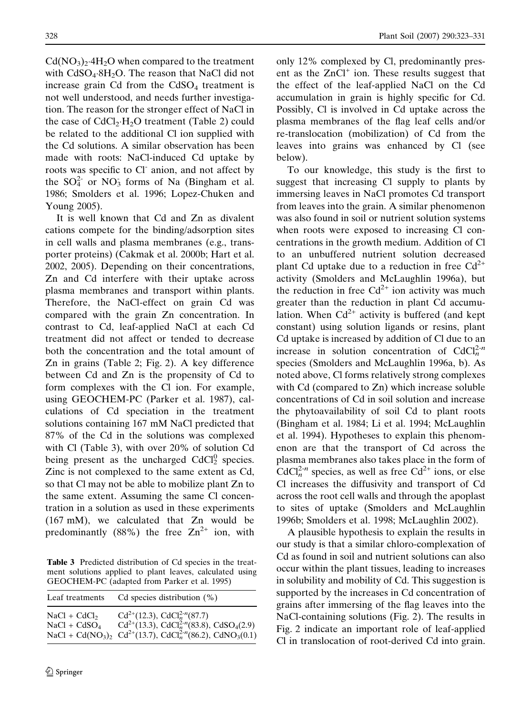$Cd(NO<sub>3</sub>)<sub>2</sub>·4H<sub>2</sub>O$  when compared to the treatment with  $CdSO_4·8H_2O$ . The reason that NaCl did not increase grain Cd from the  $CdSO<sub>4</sub>$  treatment is not well understood, and needs further investigation. The reason for the stronger effect of NaCl in the case of  $CdCl<sub>2</sub>·H<sub>2</sub>O$  treatment (Table 2) could be related to the additional Cl ion supplied with the Cd solutions. A similar observation has been made with roots: NaCl-induced Cd uptake by roots was specific to Cl- anion, and not affect by the  $SO_4^2$  or  $NO_3$  forms of Na (Bingham et al. 1986; Smolders et al. 1996; Lopez-Chuken and

Young 2005). It is well known that Cd and Zn as divalent cations compete for the binding/adsorption sites in cell walls and plasma membranes (e.g., transporter proteins) (Cakmak et al. 2000b; Hart et al. 2002, 2005). Depending on their concentrations, Zn and Cd interfere with their uptake across plasma membranes and transport within plants. Therefore, the NaCl-effect on grain Cd was compared with the grain Zn concentration. In contrast to Cd, leaf-applied NaCl at each Cd treatment did not affect or tended to decrease both the concentration and the total amount of Zn in grains (Table 2; Fig. 2). A key difference between Cd and Zn is the propensity of Cd to form complexes with the Cl ion. For example, using GEOCHEM-PC (Parker et al. 1987), calculations of Cd speciation in the treatment solutions containing 167 mM NaCl predicted that 87% of the Cd in the solutions was complexed with Cl (Table 3), with over 20% of solution Cd being present as the uncharged  $CdCl<sub>2</sub><sup>0</sup>$  species. Zinc is not complexed to the same extent as Cd, so that Cl may not be able to mobilize plant Zn to the same extent. Assuming the same Cl concentration in a solution as used in these experiments (167 mM), we calculated that Zn would be predominantly (88%) the free  $\text{Zn}^{2+}$  ion, with

Table 3 Predicted distribution of Cd species in the treatment solutions applied to plant leaves, calculated using GEOCHEM-PC (adapted from Parker et al. 1995)

| Leaf treatments | Cd species distribution $(\%)$                                                                                                                                |
|-----------------|---------------------------------------------------------------------------------------------------------------------------------------------------------------|
| $NaCl + CdCl2$  | Cd <sup>2+</sup> (12.3), CdCl <sub>n</sub> <sup>2-n</sup> (87.7)<br>Cd <sup>2+</sup> (13.3), CdCl <sub>n</sub> <sup>2-n</sup> (83.8), CdSO <sub>4</sub> (2.9) |
| $NaCl + CdSO4$  | NaCl + Cd(NO <sub>3</sub> ) <sub>2</sub> Cd <sup>2+</sup> (13.7), CdCl <sub>n</sub> <sup>2-n</sup> (86.2), CdNO <sub>3</sub> (0.1)                            |

only 12% complexed by Cl, predominantly present as the  $ZnCl<sup>+</sup>$  ion. These results suggest that the effect of the leaf-applied NaCl on the Cd accumulation in grain is highly specific for Cd. Possibly, Cl is involved in Cd uptake across the plasma membranes of the flag leaf cells and/or re-translocation (mobilization) of Cd from the leaves into grains was enhanced by Cl (see below).

To our knowledge, this study is the first to suggest that increasing Cl supply to plants by immersing leaves in NaCl promotes Cd transport from leaves into the grain. A similar phenomenon was also found in soil or nutrient solution systems when roots were exposed to increasing Cl concentrations in the growth medium. Addition of Cl to an unbuffered nutrient solution decreased plant Cd uptake due to a reduction in free  $Cd^{2+}$ activity (Smolders and McLaughlin 1996a), but the reduction in free  $Cd^{2+}$  ion activity was much greater than the reduction in plant Cd accumulation. When  $Cd^{2+}$  activity is buffered (and kept constant) using solution ligands or resins, plant Cd uptake is increased by addition of Cl due to an increase in solution concentration of  $CdCl<sub>n</sub><sup>2-n</sup>$ species (Smolders and McLaughlin 1996a, b). As noted above, Cl forms relatively strong complexes with Cd (compared to Zn) which increase soluble concentrations of Cd in soil solution and increase the phytoavailability of soil Cd to plant roots (Bingham et al. 1984; Li et al. 1994; McLaughlin et al. 1994). Hypotheses to explain this phenomenon are that the transport of Cd across the plasma membranes also takes place in the form of  $CdCl<sub>n</sub><sup>2-n</sup>$  species, as well as free Cd<sup>2+</sup> ions, or else Cl increases the diffusivity and transport of Cd across the root cell walls and through the apoplast to sites of uptake (Smolders and McLaughlin 1996b; Smolders et al. 1998; McLaughlin 2002).

A plausible hypothesis to explain the results in our study is that a similar chloro-complexation of Cd as found in soil and nutrient solutions can also occur within the plant tissues, leading to increases in solubility and mobility of Cd. This suggestion is supported by the increases in Cd concentration of grains after immersing of the flag leaves into the NaCl-containing solutions (Fig. 2). The results in Fig. 2 indicate an important role of leaf-applied Cl in translocation of root-derived Cd into grain.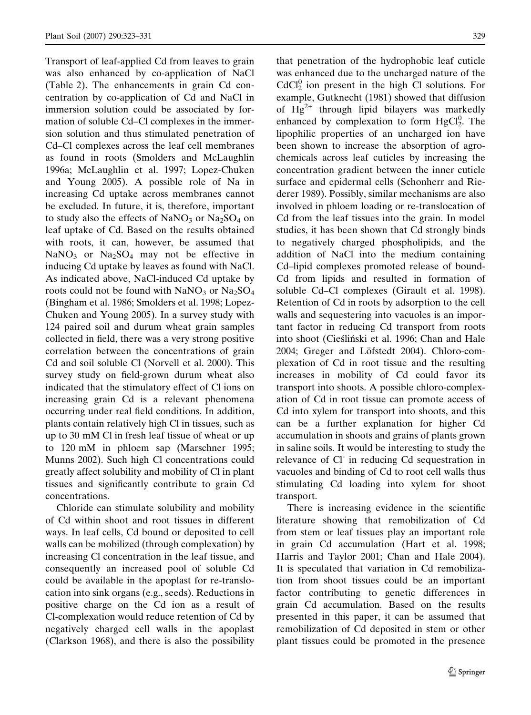Transport of leaf-applied Cd from leaves to grain was also enhanced by co-application of NaCl (Table 2). The enhancements in grain Cd concentration by co-application of Cd and NaCl in immersion solution could be associated by formation of soluble Cd–Cl complexes in the immersion solution and thus stimulated penetration of Cd–Cl complexes across the leaf cell membranes as found in roots (Smolders and McLaughlin 1996a; McLaughlin et al. 1997; Lopez-Chuken and Young 2005). A possible role of Na in increasing Cd uptake across membranes cannot be excluded. In future, it is, therefore, important to study also the effects of  $NaNO<sub>3</sub>$  or  $Na<sub>2</sub>SO<sub>4</sub>$  on leaf uptake of Cd. Based on the results obtained with roots, it can, however, be assumed that  $NaNO<sub>3</sub>$  or  $Na<sub>2</sub>SO<sub>4</sub>$  may not be effective in inducing Cd uptake by leaves as found with NaCl. As indicated above, NaCl-induced Cd uptake by roots could not be found with  $NaNO<sub>3</sub>$  or  $Na<sub>2</sub>SO<sub>4</sub>$ (Bingham et al. 1986; Smolders et al. 1998; Lopez-Chuken and Young 2005). In a survey study with 124 paired soil and durum wheat grain samples collected in field, there was a very strong positive correlation between the concentrations of grain Cd and soil soluble Cl (Norvell et al. 2000). This survey study on field-grown durum wheat also indicated that the stimulatory effect of Cl ions on increasing grain Cd is a relevant phenomena occurring under real field conditions. In addition, plants contain relatively high Cl in tissues, such as up to 30 mM Cl in fresh leaf tissue of wheat or up to 120 mM in phloem sap (Marschner 1995; Munns 2002). Such high Cl concentrations could greatly affect solubility and mobility of Cl in plant tissues and significantly contribute to grain Cd concentrations.

Chloride can stimulate solubility and mobility of Cd within shoot and root tissues in different ways. In leaf cells, Cd bound or deposited to cell walls can be mobilized (through complexation) by increasing Cl concentration in the leaf tissue, and consequently an increased pool of soluble Cd could be available in the apoplast for re-translocation into sink organs (e.g., seeds). Reductions in positive charge on the Cd ion as a result of Cl-complexation would reduce retention of Cd by negatively charged cell walls in the apoplast (Clarkson 1968), and there is also the possibility that penetration of the hydrophobic leaf cuticle was enhanced due to the uncharged nature of the  $CdCl<sub>2</sub><sup>0</sup>$  ion present in the high Cl solutions. For example, Gutknecht (1981) showed that diffusion of  $Hg^{2+}$  through lipid bilayers was markedly enhanced by complexation to form  $HgCl<sub>2</sub><sup>0</sup>$ . The lipophilic properties of an uncharged ion have been shown to increase the absorption of agrochemicals across leaf cuticles by increasing the concentration gradient between the inner cuticle surface and epidermal cells (Schonherr and Riederer 1989). Possibly, similar mechanisms are also involved in phloem loading or re-translocation of Cd from the leaf tissues into the grain. In model studies, it has been shown that Cd strongly binds to negatively charged phospholipids, and the addition of NaCl into the medium containing Cd–lipid complexes promoted release of bound-Cd from lipids and resulted in formation of soluble Cd–Cl complexes (Girault et al. 1998). Retention of Cd in roots by adsorption to the cell walls and sequestering into vacuoles is an important factor in reducing Cd transport from roots into shoot (Cieśliński et al. 1996; Chan and Hale 2004; Greger and Löfstedt 2004). Chloro-complexation of Cd in root tissue and the resulting increases in mobility of Cd could favor its transport into shoots. A possible chloro-complexation of Cd in root tissue can promote access of Cd into xylem for transport into shoots, and this can be a further explanation for higher Cd accumulation in shoots and grains of plants grown in saline soils. It would be interesting to study the relevance of Cl- in reducing Cd sequestration in vacuoles and binding of Cd to root cell walls thus stimulating Cd loading into xylem for shoot transport.

There is increasing evidence in the scientific literature showing that remobilization of Cd from stem or leaf tissues play an important role in grain Cd accumulation (Hart et al. 1998; Harris and Taylor 2001; Chan and Hale 2004). It is speculated that variation in Cd remobilization from shoot tissues could be an important factor contributing to genetic differences in grain Cd accumulation. Based on the results presented in this paper, it can be assumed that remobilization of Cd deposited in stem or other plant tissues could be promoted in the presence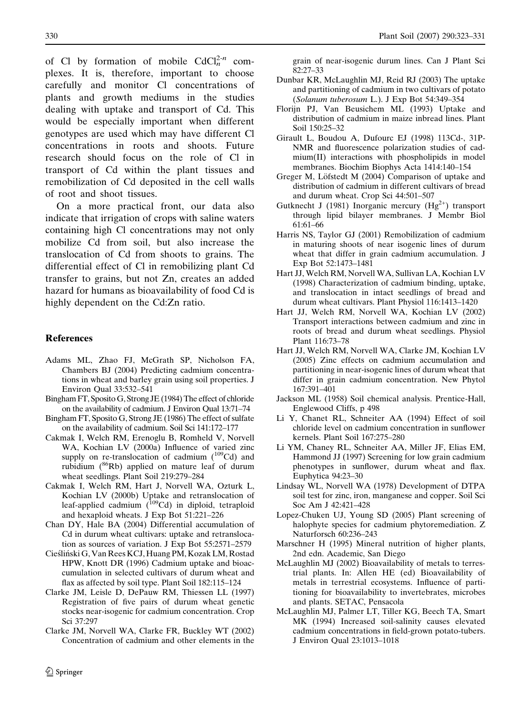of Cl by formation of mobile  $CdCl<sub>n</sub><sup>2-n</sup>$  complexes. It is, therefore, important to choose carefully and monitor Cl concentrations of plants and growth mediums in the studies dealing with uptake and transport of Cd. This would be especially important when different genotypes are used which may have different Cl concentrations in roots and shoots. Future research should focus on the role of Cl in transport of Cd within the plant tissues and remobilization of Cd deposited in the cell walls of root and shoot tissues.

On a more practical front, our data also indicate that irrigation of crops with saline waters containing high Cl concentrations may not only mobilize Cd from soil, but also increase the translocation of Cd from shoots to grains. The differential effect of Cl in remobilizing plant Cd transfer to grains, but not Zn, creates an added hazard for humans as bioavailability of food Cd is highly dependent on the Cd:Zn ratio.

#### **References**

- Adams ML, Zhao FJ, McGrath SP, Nicholson FA, Chambers BJ (2004) Predicting cadmium concentrations in wheat and barley grain using soil properties. J Environ Qual 33:532–541
- Bingham FT, Sposito G, Strong JE (1984) The effect of chloride on the availability of cadmium. J Environ Qual 13:71–74
- Bingham FT, Sposito G, Strong JE (1986) The effect of sulfate on the availability of cadmium. Soil Sci 141:172–177
- Cakmak I, Welch RM, Erenoglu B, Romheld V, Norvell WA, Kochian LV (2000a) Influence of varied zinc supply on re-translocation of cadmium  $(^{109}Cd)$  and rubidium (86Rb) applied on mature leaf of durum wheat seedlings. Plant Soil 219:279–284
- Cakmak I, Welch RM, Hart J, Norvell WA, Ozturk L, Kochian LV (2000b) Uptake and retranslocation of leaf-applied cadmium  $\binom{109}{109}$  in diploid, tetraploid and hexaploid wheats. J Exp Bot 51:221–226
- Chan DY, Hale BA (2004) Differential accumulation of Cd in durum wheat cultivars: uptake and retranslocation as sources of variation. J Exp Bot 55:2571–2579
- Cieśliński G, Van Rees KCJ, Huang PM, Kozak LM, Rostad HPW, Knott DR (1996) Cadmium uptake and bioaccumulation in selected cultivars of durum wheat and flax as affected by soil type. Plant Soil 182:115–124
- Clarke JM, Leisle D, DePauw RM, Thiessen LL (1997) Registration of five pairs of durum wheat genetic stocks near-isogenic for cadmium concentration. Crop Sci 37:297
- Clarke JM, Norvell WA, Clarke FR, Buckley WT (2002) Concentration of cadmium and other elements in the

grain of near-isogenic durum lines. Can J Plant Sci 82:27–33

- Dunbar KR, McLaughlin MJ, Reid RJ (2003) The uptake and partitioning of cadmium in two cultivars of potato (Solanum tuberosum L.). J Exp Bot 54:349–354
- Florijn PJ, Van Beusichem ML (1993) Uptake and distribution of cadmium in maize inbread lines. Plant Soil 150:25–32
- Girault L, Boudou A, Dufourc EJ (1998) 113Cd-, 31P-NMR and fluorescence polarization studies of cadmium(II) interactions with phospholipids in model membranes. Biochim Biophys Acta 1414:140–154
- Greger M, Löfstedt M (2004) Comparison of uptake and distribution of cadmium in different cultivars of bread and durum wheat. Crop Sci 44:501–507
- Gutknecht J (1981) Inorganic mercury  $(Hg^{2+})$  transport through lipid bilayer membranes. J Membr Biol 61:61–66
- Harris NS, Taylor GJ (2001) Remobilization of cadmium in maturing shoots of near isogenic lines of durum wheat that differ in grain cadmium accumulation. J Exp Bot 52:1473–1481
- Hart JJ, Welch RM, Norvell WA, Sullivan LA, Kochian LV (1998) Characterization of cadmium binding, uptake, and translocation in intact seedlings of bread and durum wheat cultivars. Plant Physiol 116:1413–1420
- Hart JJ, Welch RM, Norvell WA, Kochian LV (2002) Transport interactions between cadmium and zinc in roots of bread and durum wheat seedlings. Physiol Plant 116:73–78
- Hart JJ, Welch RM, Norvell WA, Clarke JM, Kochian LV (2005) Zinc effects on cadmium accumulation and partitioning in near-isogenic lines of durum wheat that differ in grain cadmium concentration. New Phytol 167:391–401
- Jackson ML (1958) Soil chemical analysis. Prentice-Hall, Englewood Cliffs, p 498
- Li Y, Chanet RL, Schneiter AA (1994) Effect of soil chloride level on cadmium concentration in sunflower kernels. Plant Soil 167:275–280
- Li YM, Chaney RL, Schneiter AA, Miller JF, Elias EM, Hammond JJ (1997) Screening for low grain cadmium phenotypes in sunflower, durum wheat and flax. Euphytica 94:23–30
- Lindsay WL, Norvell WA (1978) Development of DTPA soil test for zinc, iron, manganese and copper. Soil Sci Soc Am J 42:421–428
- Lopez-Chuken UJ, Young SD (2005) Plant screening of halophyte species for cadmium phytoremediation. Z Naturforsch 60:236–243
- Marschner H (1995) Mineral nutrition of higher plants, 2nd edn. Academic, San Diego
- McLaughlin MJ (2002) Bioavailability of metals to terrestrial plants. In: Allen HE (ed) Bioavailability of metals in terrestrial ecosystems. Influence of partitioning for bioavailability to invertebrates, microbes and plants. SETAC, Pensacola
- McLaughlin MJ, Palmer LT, Tiller KG, Beech TA, Smart MK (1994) Increased soil-salinity causes elevated cadmium concentrations in field-grown potato-tubers. J Environ Qual 23:1013–1018